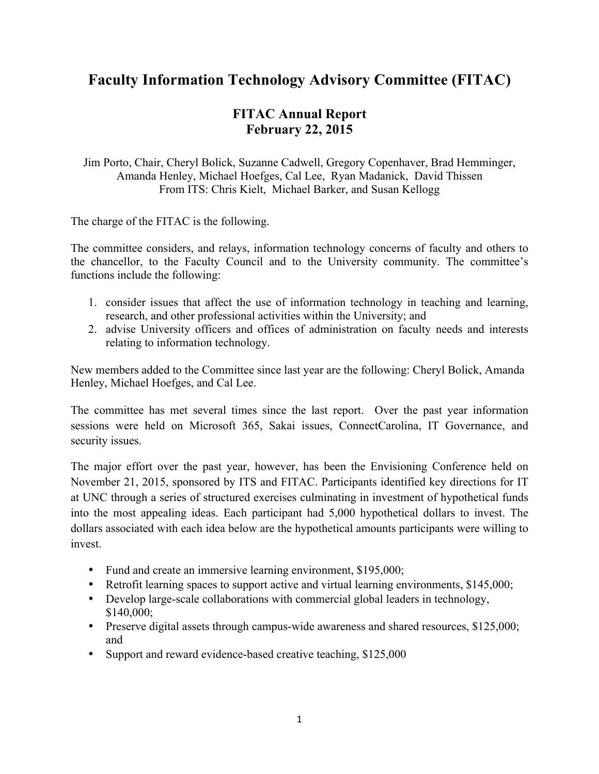## **Faculty Information Technology Advisory Committee (FITAC)**

## **FITAC Annual Report February 22, 2015**

Jim Porto, Chair, Cheryl Bolick, Suzanne Cadwell, Gregory Copenhaver, Brad Hemminger, Amanda Henley, Michael Hoefges, Cal Lee, Ryan Madanick, David Thissen From ITS: Chris Kielt, Michael Barker, and Susan Kellogg

The charge of the FITAC is the following.

The committee considers, and relays, information technology concerns of faculty and others to the chancellor, to the Faculty Council and to the University community. The committee's functions include the following:

- 1. consider issues that affect the use of information technology in teaching and learning, research, and other professional activities within the University; and
- 2. advise University officers and offices of administration on faculty needs and interests relating to information technology.

New members added to the Committee since last year are the following: Cheryl Bolick, Amanda Henley, Michael Hoefges, and Cal Lee.

The committee has met several times since the last report. Over the past year information sessions were held on Microsoft 365, Sakai issues, ConnectCarolina, IT Governance, and security issues.

The major effort over the past year, however, has been the Envisioning Conference held on November 21, 2015, sponsored by ITS and FITAC. Participants identified key directions for IT at UNC through a series of structured exercises culminating in investment of hypothetical funds into the most appealing ideas. Each participant had 5,000 hypothetical dollars to invest. The dollars associated with each idea below are the hypothetical amounts participants were willing to invest.

- Fund and create an immersive learning environment, \$195,000;
- Retrofit learning spaces to support active and virtual learning environments, \$145,000;
- Develop large-scale collaborations with commercial global leaders in technology, \$140,000;
- Preserve digital assets through campus-wide awareness and shared resources, \$125,000; and
- Support and reward evidence-based creative teaching, \$125,000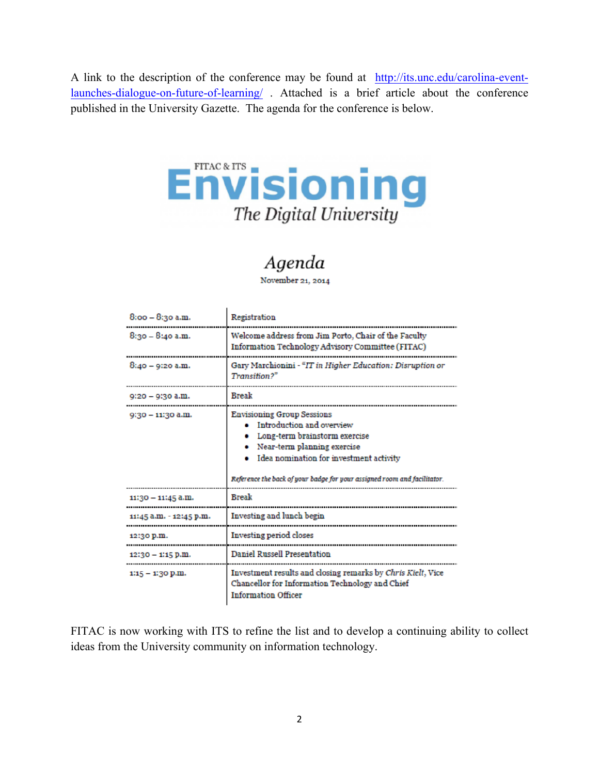A link to the description of the conference may be found at http://its.unc.edu/carolina-eventlaunches-dialogue-on-future-of-learning/ . Attached is a brief article about the conference published in the University Gazette. The agenda for the conference is below.



## Agenda

November 21, 2014

 $\mathbf{I}$ 

| 8:00 - 8:30 a.m.        | Registration                                                                                                                                                                                                                                          |
|-------------------------|-------------------------------------------------------------------------------------------------------------------------------------------------------------------------------------------------------------------------------------------------------|
| $8:30 - 8:40$ a.m.      | Welcome address from Jim Porto, Chair of the Faculty<br>Information Technology Advisory Committee (FITAC)                                                                                                                                             |
| $8:40 - 9:20$ a.m.      | Gary Marchionini - "IT in Higher Education: Disruption or<br>Transition?"                                                                                                                                                                             |
| 9:20 – 9:30 a.m.        | <b>Break</b>                                                                                                                                                                                                                                          |
| 9:30 - 11:30 a.m.       | <b>Envisioning Group Sessions</b><br>Introduction and overview<br>Long-term brainstorm exercise<br>Near-term planning exercise<br>Idea nomination for investment activity<br>Reference the back of your badge for your assigned room and facilitator. |
| 11:30 - 11:45 a.m.      | <b>Break</b>                                                                                                                                                                                                                                          |
| 11:45 a.m. - 12:45 p.m. | Investing and lunch begin                                                                                                                                                                                                                             |
| 12:30 p.m.              | Investing period closes                                                                                                                                                                                                                               |
| $12:30 - 1:15$ p.m.     | <b>Daniel Russell Presentation</b>                                                                                                                                                                                                                    |
| $1:15 - 1:30$ p.m.      | Investment results and closing remarks by Chris Kielt, Vice<br>Chancellor for Information Technology and Chief<br><b>Information Officer</b>                                                                                                          |

FITAC is now working with ITS to refine the list and to develop a continuing ability to collect ideas from the University community on information technology.